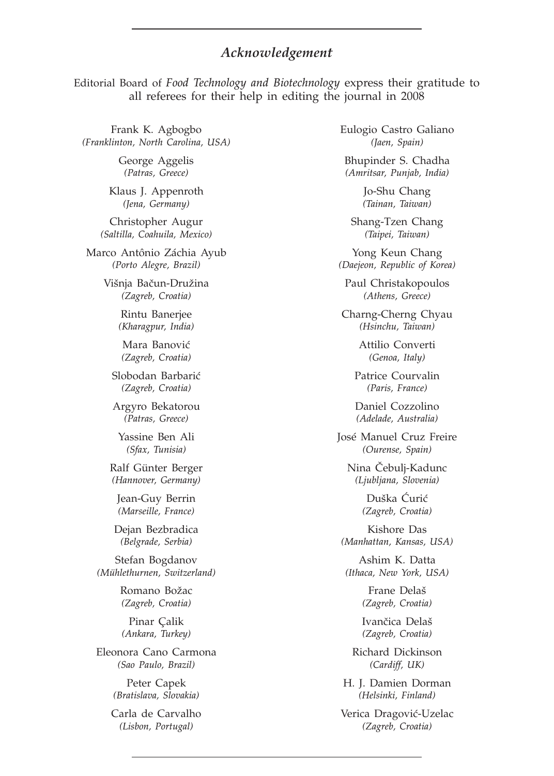## *Acknowledgement*

Editorial Board of *Food Technology and Biotechnology* express their gratitude to all referees for their help in editing the journal in 2008

Frank K. Agbogbo *(Franklinton, North Carolina, USA)*

> George Aggelis *(Patras, Greece)*

Klaus J. Appenroth *(Jena, Germany)*

Christopher Augur *(Saltilla, Coahuila, Mexico)*

Marco Antônio Záchia Ayub *(Porto Alegre, Brazil)*

> Višnja Bačun-Družina *(Zagreb, Croatia)*

> > Rintu Banerjee *(Kharagpur, India)*

Mara Banović *(Zagreb, Croatia)*

Slobodan Barbarić *(Zagreb, Croatia)*

Argyro Bekatorou *(Patras, Greece)*

Yassine Ben Ali *(Sfax, Tunisia)*

Ralf Günter Berger *(Hannover, Germany)*

Jean-Guy Berrin *(Marseille, France)*

Dejan Bezbradica *(Belgrade, Serbia)*

Stefan Bogdanov *(Mühlethurnen, Switzerland)*

> Romano Božac *(Zagreb, Croatia)*

Pinar Çalik *(Ankara, Turkey)*

Eleonora Cano Carmona *(Sao Paulo, Brazil)*

> Peter Capek *(Bratislava, Slovakia)*

Carla de Carvalho *(Lisbon, Portugal)*

Eulogio Castro Galiano *(Jaen, Spain)*

Bhupinder S. Chadha *(Amritsar, Punjab, India)*

> Jo-Shu Chang *(Tainan, Taiwan)*

Shang-Tzen Chang *(Taipei, Taiwan)*

Yong Keun Chang *(Daejeon, Republic of Korea)*

Paul Christakopoulos *(Athens, Greece)*

Charng-Cherng Chyau *(Hsinchu, Taiwan)*

> Attilio Converti *(Genoa, Italy)*

Patrice Courvalin *(Paris, France)*

Daniel Cozzolino *(Adelade, Australia)*

José Manuel Cruz Freire *(Ourense, Spain)*

> Nina Čebulj-Kadunc *(Ljubljana, Slovenia)*

> > Duška Ćurić *(Zagreb, Croatia)*

Kishore Das *(Manhattan, Kansas, USA)*

Ashim K. Datta *(Ithaca, New York, USA)*

> Frane Delaš *(Zagreb, Croatia)*

Ivančica Delaš *(Zagreb, Croatia)*

Richard Dickinson *(Cardiff, UK)*

H. J. Damien Dorman *(Helsinki, Finland)*

Verica Dragović-Uzelac *(Zagreb, Croatia)*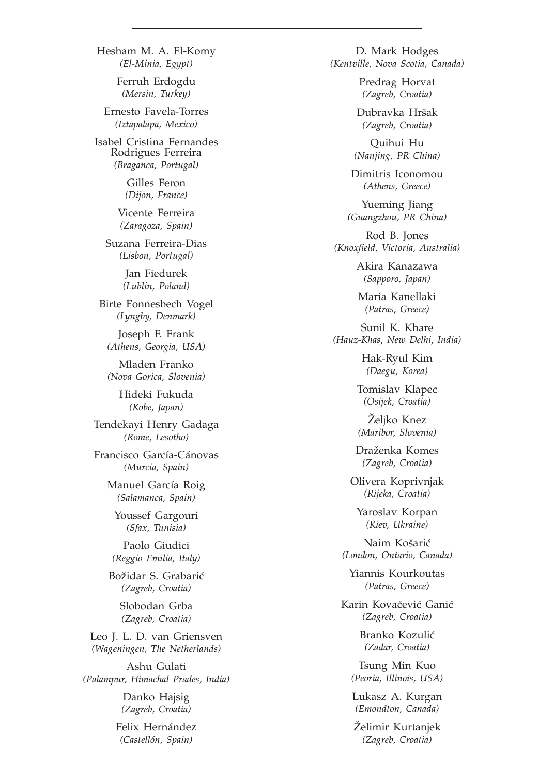*(El-Minia, Egypt)* Ferruh Erdogdu *(Mersin, Turkey)* Ernesto Favela-Torres *(Iztapalapa, Mexico)* Isabel Cristina Fernandes Rodrigues Ferreira *(Braganca, Portugal)* Gilles Feron *(Dijon, France)* Vicente Ferreira *(Zaragoza, Spain)* Suzana Ferreira-Dias *(Lisbon, Portugal)* Jan Fiedurek *(Lublin, Poland)* Birte Fonnesbech Vogel *(Lyngby, Denmark)* Joseph F. Frank *(Athens, Georgia, USA)* Mladen Franko *(Nova Gorica, Slovenia)* Hideki Fukuda *(Kobe, Japan)* Tendekayi Henry Gadaga *(Rome, Lesotho)* Francisco García-Cánovas *(Murcia, Spain)* Manuel García Roig *(Salamanca, Spain)* Youssef Gargouri *(Sfax, Tunisia)* Paolo Giudici *(Reggio Emilia, Italy)* Božidar S. Grabarić *(Zagreb, Croatia)* Slobodan Grba *(Zagreb, Croatia)* Leo J. L. D. van Griensven *(Wageningen, The Netherlands)* Ashu Gulati *(Palampur, Himachal Prades, India)* Danko Hajsig

Hesham M. A. El-Komy

*(Zagreb, Croatia)*

Felix Hernández *(Castellón, Spain)*

D. Mark Hodges *(Kentville, Nova Scotia, Canada)*

> Predrag Horvat *(Zagreb, Croatia)*

Dubravka Hršak *(Zagreb, Croatia)*

Quihui Hu *(Nanjing, PR China)*

Dimitris Iconomou *(Athens, Greece)*

Yueming Jiang *(Guangzhou, PR China)*

Rod B. Jones *(Knoxfield, Victoria, Australia)*

> Akira Kanazawa *(Sapporo, Japan)*

Maria Kanellaki *(Patras, Greece)*

Sunil K. Khare *(Hauz-Khas, New Delhi, India)*

> Hak-Ryul Kim *(Daegu, Korea)*

Tomislav Klapec *(Osijek, Croatia)*

Željko Knez *(Maribor, Slovenia)*

Draženka Komes *(Zagreb, Croatia)*

Olivera Koprivnjak *(Rijeka, Croatia)*

Yaroslav Korpan *(Kiev, Ukraine)*

Naim Košarić *(London, Ontario, Canada)*

Yiannis Kourkoutas *(Patras, Greece)*

Karin Kovačević Ganić *(Zagreb, Croatia)*

> Branko Kozulić *(Zadar, Croatia)*

Tsung Min Kuo *(Peoria, Illinois, USA)*

Lukasz A. Kurgan *(Emondton, Canada)*

Želimir Kurtanjek *(Zagreb, Croatia)*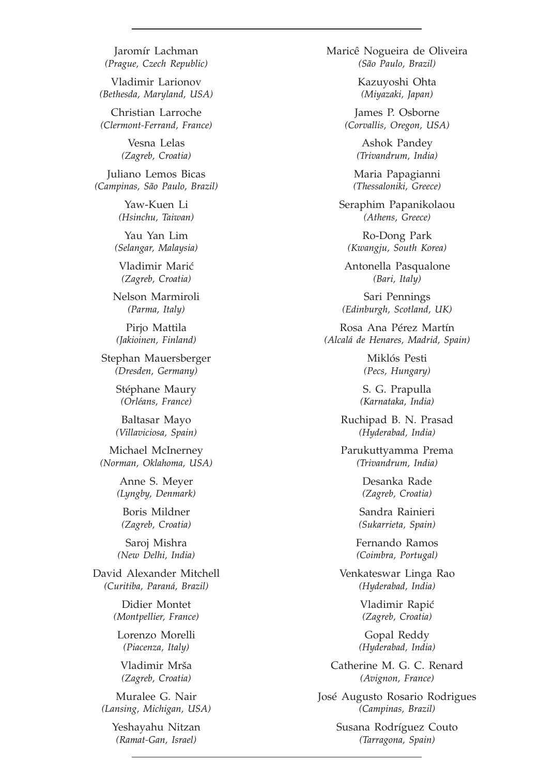Jaromír Lachman *(Prague, Czech Republic)*

Vladimir Larionov *(Bethesda, Maryland, USA)*

Christian Larroche *(Clermont-Ferrand, France)*

> Vesna Lelas *(Zagreb, Croatia)*

Juliano Lemos Bicas *(Campinas, São Paulo, Brazil)*

> Yaw-Kuen Li *(Hsinchu, Taiwan)*

Yau Yan Lim *(Selangar, Malaysia)*

Vladimir Marić *(Zagreb, Croatia)*

Nelson Marmiroli *(Parma, Italy)*

Pirjo Mattila *(Jakioinen, Finland)*

Stephan Mauersberger *(Dresden, Germany)*

> Stéphane Maury *(Orléans, France)*

> Baltasar Mayo *(Villaviciosa, Spain)*

Michael McInerney *(Norman, Oklahoma, USA)*

> Anne S. Meyer *(Lyngby, Denmark)*

Boris Mildner *(Zagreb, Croatia)*

Saroj Mishra *(New Delhi, India)*

David Alexander Mitchell *(Curitiba, Paraná, Brazil)*

> Didier Montet *(Montpellier, France)*

Lorenzo Morelli *(Piacenza, Italy)*

Vladimir Mrša *(Zagreb, Croatia)*

Muralee G. Nair *(Lansing, Michigan, USA)*

> Yeshayahu Nitzan *(Ramat-Gan, Israel)*

Maricê Nogueira de Oliveira *(São Paulo, Brazil)*

> Kazuyoshi Ohta *(Miyazaki, Japan)*

James P. Osborne *(Corvallis, Oregon, USA)*

> Ashok Pandey *(Trivandrum, India)*

Maria Papagianni *(Thessaloniki, Greece)*

Seraphim Papanikolaou *(Athens, Greece)*

Ro-Dong Park *(Kwangju, South Korea)*

Antonella Pasqualone *(Bari, Italy)*

Sari Pennings *(Edinburgh, Scotland, UK)*

Rosa Ana Pérez Martín *(Alcalá de Henares, Madrid, Spain)*

> Miklós Pesti *(Pecs, Hungary)*

S. G. Prapulla *(Karnataka, India)*

Ruchipad B. N. Prasad *(Hyderabad, India)*

Parukuttyamma Prema *(Trivandrum, India)*

> Desanka Rade *(Zagreb, Croatia)*

Sandra Rainieri *(Sukarrieta, Spain)*

Fernando Ramos *(Coimbra, Portugal)*

Venkateswar Linga Rao *(Hyderabad, India)*

> Vladimir Rapić *(Zagreb, Croatia)*

Gopal Reddy *(Hyderabad, India)*

Catherine M. G. C. Renard *(Avignon, France)*

José Augusto Rosario Rodrigues *(Campinas, Brazil)*

> Susana Rodríguez Couto *(Tarragona, Spain)*